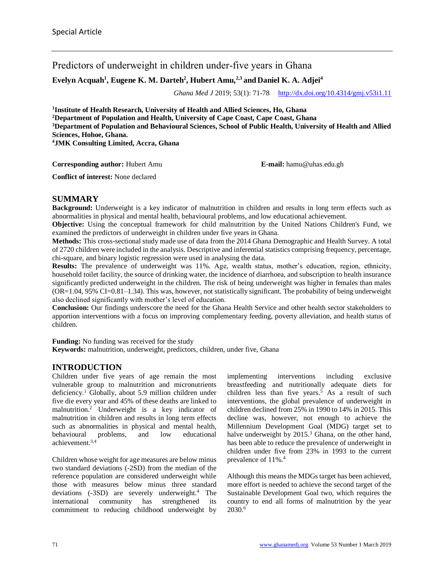# Predictors of underweight in children under-five years in Ghana

**Evelyn Acquah<sup>1</sup> , Eugene K. M. Darteh<sup>2</sup> , Hubert Amu, 2,3 and Daniel K. A. Adjei<sup>4</sup>**

*Ghana Med J* 2019; 53(1): 71-78 <http://dx.doi.org/10.4314/gmj.v53i1.11>

 **Institute of Health Research, University of Health and Allied Sciences, Ho, Ghana Department of Population and Health, University of Cape Coast, Cape Coast, Ghana Department of Population and Behavioural Sciences, School of Public Health, University of Health and Allied Sciences, Hohoe, Ghana. JMK Consulting Limited, Accra, Ghana**

**Corresponding author:** Hubert Amu **E-mail:** hamu@uhas.edu.gh

**Conflict of interest:** None declared

## **SUMMARY**

**Background:** Underweight is a key indicator of malnutrition in children and results in long term effects such as abnormalities in physical and mental health, behavioural problems, and low educational achievement.

**Objective:** Using the conceptual framework for child malnutrition by the United Nations Children's Fund, we examined the predictors of underweight in children under five years in Ghana.

**Methods:** This cross-sectional study made use of data from the 2014 Ghana Demographic and Health Survey. A total of 2720 children were included in the analysis. Descriptive and inferential statistics comprising frequency, percentage, chi-square, and binary logistic regression were used in analysing the data.

**Results:** The prevalence of underweight was 11%. Age, wealth status, mother's education, region, ethnicity, household toilet facility, the source of drinking water, the incidence of diarrhoea, and subscription to health insurance significantly predicted underweight in the children. The risk of being underweight was higher in females than males (OR=1.04, 95% CI=0.81–1.34). This was, however, not statistically significant. The probability of being underweight also declined significantly with mother's level of education.

**Conclusion:** Our findings underscore the need for the Ghana Health Service and other health sector stakeholders to apportion interventions with a focus on improving complementary feeding, poverty alleviation, and health status of children.

**Funding:** No funding was received for the study

**Keywords:** malnutrition, underweight, predictors, children, under five, Ghana

## **INTRODUCTION**

Children under five years of age remain the most vulnerable group to malnutrition and micronutrients deficiency.<sup>1</sup> Globally, about 5.9 million children under five die every year and 45% of these deaths are linked to malnutrition.<sup>2</sup> Underweight is a key indicator of malnutrition in children and results in long term effects such as abnormalities in physical and mental health, behavioural problems, and low educational achievement.3,4

Children whose weight for age measures are below minus two standard deviations (-2SD) from the median of the reference population are considered underweight while those with measures below minus three standard deviations (-3SD) are severely underweight.<sup>4</sup> The international community has strengthened its commitment to reducing childhood underweight by implementing interventions including exclusive breastfeeding and nutritionally adequate diets for children less than five years.<sup>5</sup> As a result of such interventions, the global prevalence of underweight in children declined from 25% in 1990 to 14% in 2015. This decline was, however, not enough to achieve the Millennium Development Goal (MDG) target set to halve underweight by 2015.<sup>3</sup> Ghana, on the other hand, has been able to reduce the prevalence of underweight in children under five from 23% in 1993 to the current prevalence of 11%.<sup>4</sup>

Although this means the MDGs target has been achieved, more effort is needed to achieve the second target of the Sustainable Development Goal two, which requires the country to end all forms of malnutrition by the year 2030.<sup>6</sup>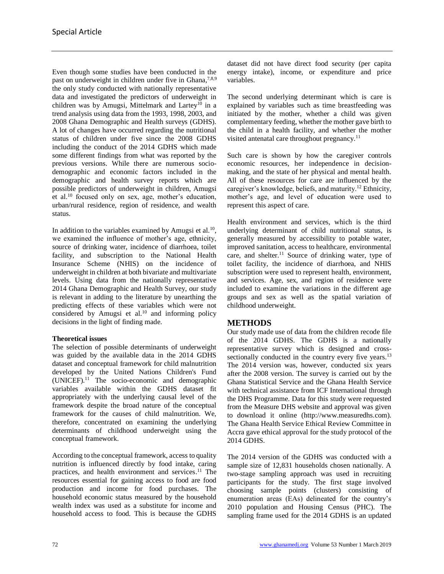Even though some studies have been conducted in the past on underweight in children under five in Ghana,<sup>7,8,9</sup> the only study conducted with nationally representative data and investigated the predictors of underweight in children was by Amugsi, Mittelmark and Lartey<sup>10</sup> in a trend analysis using data from the 1993, 1998, 2003, and 2008 Ghana Demographic and Health surveys (GDHS). A lot of changes have occurred regarding the nutritional status of children under five since the 2008 GDHS including the conduct of the 2014 GDHS which made some different findings from what was reported by the previous versions. While there are numerous sociodemographic and economic factors included in the demographic and health survey reports which are possible predictors of underweight in children, Amugsi et al.<sup>10</sup> focused only on sex, age, mother's education, urban/rural residence, region of residence, and wealth status.

In addition to the variables examined by Amugsi et al.<sup>10</sup>, we examined the influence of mother's age, ethnicity, source of drinking water, incidence of diarrhoea, toilet facility, and subscription to the National Health Insurance Scheme (NHIS) on the incidence of underweight in children at both bivariate and multivariate levels. Using data from the nationally representative 2014 Ghana Demographic and Health Survey, our study is relevant in adding to the literature by unearthing the predicting effects of these variables which were not considered by Amugsi et al. $10$  and informing policy decisions in the light of finding made.

#### **Theoretical issues**

The selection of possible determinants of underweight was guided by the available data in the 2014 GDHS dataset and conceptual framework for child malnutrition developed by the United Nations Children's Fund (UNICEF).<sup>11</sup> The socio-economic and demographic variables available within the GDHS dataset fit appropriately with the underlying causal level of the framework despite the broad nature of the conceptual framework for the causes of child malnutrition. We, therefore, concentrated on examining the underlying determinants of childhood underweight using the conceptual framework.

According to the conceptual framework, access to quality nutrition is influenced directly by food intake, caring practices, and health environment and services. <sup>11</sup> The resources essential for gaining access to food are food production and income for food purchases. The household economic status measured by the household wealth index was used as a substitute for income and household access to food. This is because the GDHS

dataset did not have direct food security (per capita energy intake), income, or expenditure and price variables.

The second underlying determinant which is care is explained by variables such as time breastfeeding was initiated by the mother, whether a child was given complementary feeding, whether the mother gave birth to the child in a health facility, and whether the mother visited antenatal care throughout pregnancy.<sup>11</sup>

Such care is shown by how the caregiver controls economic resources, her independence in decisionmaking, and the state of her physical and mental health. All of these resources for care are influenced by the caregiver's knowledge, beliefs, and maturity.<sup>12</sup> Ethnicity, mother's age, and level of education were used to represent this aspect of care.

Health environment and services, which is the third underlying determinant of child nutritional status, is generally measured by accessibility to potable water, improved sanitation, access to healthcare, environmental care, and shelter.<sup>11</sup> Source of drinking water, type of toilet facility, the incidence of diarrhoea, and NHIS subscription were used to represent health, environment, and services. Age, sex, and region of residence were included to examine the variations in the different age groups and sex as well as the spatial variation of childhood underweight.

## **METHODS**

Our study made use of data from the children recode file of the 2014 GDHS. The GDHS is a nationally representative survey which is designed and crosssectionally conducted in the country every five years.<sup>13</sup> The 2014 version was, however, conducted six years after the 2008 version. The survey is carried out by the Ghana Statistical Service and the Ghana Health Service with technical assistance from ICF International through the DHS Programme. Data for this study were requested from the Measure DHS website and approval was given to download it online (http://www.measuredhs.com). The Ghana Health Service Ethical Review Committee in Accra gave ethical approval for the study protocol of the 2014 GDHS.

The 2014 version of the GDHS was conducted with a sample size of 12,831 households chosen nationally. A two-stage sampling approach was used in recruiting participants for the study. The first stage involved choosing sample points (clusters) consisting of enumeration areas (EAs) delineated for the country's 2010 population and Housing Census (PHC). The sampling frame used for the 2014 GDHS is an updated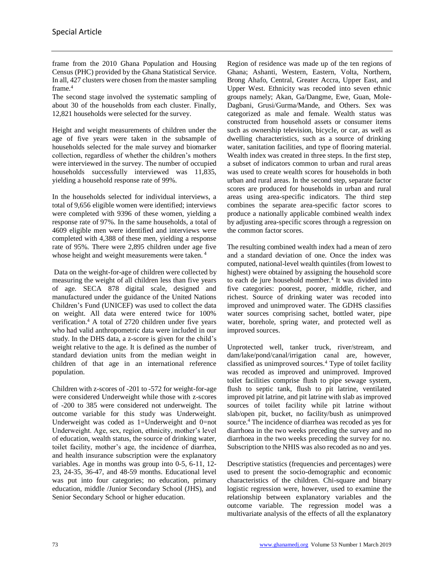frame from the 2010 Ghana Population and Housing Census (PHC) provided by the Ghana Statistical Service. In all, 427 clusters were chosen from the master sampling frame.<sup>4</sup>

The second stage involved the systematic sampling of about 30 of the households from each cluster. Finally, 12,821 households were selected for the survey.

Height and weight measurements of children under the age of five years were taken in the subsample of households selected for the male survey and biomarker collection, regardless of whether the children's mothers were interviewed in the survey. The number of occupied households successfully interviewed was 11,835, yielding a household response rate of 99%.

In the households selected for individual interviews, a total of 9,656 eligible women were identified; interviews were completed with 9396 of these women, yielding a response rate of 97%. In the same households, a total of 4609 eligible men were identified and interviews were completed with 4,388 of these men, yielding a response rate of 95%. There were 2,895 children under age five whose height and weight measurements were taken.<sup>4</sup>

Data on the weight-for-age of children were collected by measuring the weight of all children less than five years of age. SECA 878 digital scale, designed and manufactured under the guidance of the United Nations Children's Fund (UNICEF) was used to collect the data on weight. All data were entered twice for 100% verification.<sup>4</sup> A total of 2720 children under five years who had valid anthropometric data were included in our study. In the DHS data, a z-score is given for the child's weight relative to the age. It is defined as the number of standard deviation units from the median weight in children of that age in an international reference population.

Children with z-scores of -201 to -572 for weight-for-age were considered Underweight while those with z-scores of -200 to 385 were considered not underweight. The outcome variable for this study was Underweight. Underweight was coded as 1=Underweight and 0=not Underweight. Age, sex, region, ethnicity, mother's level of education, wealth status, the source of drinking water, toilet facility, mother's age, the incidence of diarrhea, and health insurance subscription were the explanatory variables. Age in months was group into 0-5, 6-11, 12- 23, 24-35, 36-47, and 48-59 months. Educational level was put into four categories; no education, primary education, middle /Junior Secondary School (JHS), and Senior Secondary School or higher education.

Region of residence was made up of the ten regions of Ghana; Ashanti, Western, Eastern, Volta, Northern, Brong Ahafo, Central, Greater Accra, Upper East, and Upper West. Ethnicity was recoded into seven ethnic groups namely; Akan, Ga/Dangme, Ewe, Guan, Mole-Dagbani, Grusi/Gurma/Mande, and Others. Sex was categorized as male and female. Wealth status was constructed from household assets or consumer items such as ownership television, bicycle, or car, as well as dwelling characteristics, such as a source of drinking water, sanitation facilities, and type of flooring material. Wealth index was created in three steps. In the first step, a subset of indicators common to urban and rural areas was used to create wealth scores for households in both urban and rural areas. In the second step, separate factor scores are produced for households in urban and rural areas using area-specific indicators. The third step combines the separate area-specific factor scores to produce a nationally applicable combined wealth index by adjusting area-specific scores through a regression on the common factor scores.

The resulting combined wealth index had a mean of zero and a standard deviation of one. Once the index was computed, national-level wealth quintiles (from lowest to highest) were obtained by assigning the household score to each de jure household member.<sup>4</sup> It was divided into five categories: poorest, poorer, middle, richer, and richest. Source of drinking water was recoded into improved and unimproved water. The GDHS classifies water sources comprising sachet, bottled water, pipe water, borehole, spring water, and protected well as improved sources.

Unprotected well, tanker truck, river/stream, and dam/lake/pond/canal/irrigation canal are, however, classified as unimproved sources.<sup>4</sup> Type of toilet facility was recoded as improved and unimproved. Improved toilet facilities comprise flush to pipe sewage system, flush to septic tank, flush to pit latrine, ventilated improved pit latrine, and pit latrine with slab as improved sources of toilet facility while pit latrine without slab/open pit, bucket, no facility/bush as unimproved source.<sup>4</sup> The incidence of diarrhea was recoded as yes for diarrhoea in the two weeks preceding the survey and no diarrhoea in the two weeks preceding the survey for no. Subscription to the NHIS was also recoded as no and yes.

Descriptive statistics (frequencies and percentages) were used to present the socio-demographic and economic characteristics of the children. Chi-square and binary logistic regression were, however, used to examine the relationship between explanatory variables and the outcome variable. The regression model was a multivariate analysis of the effects of all the explanatory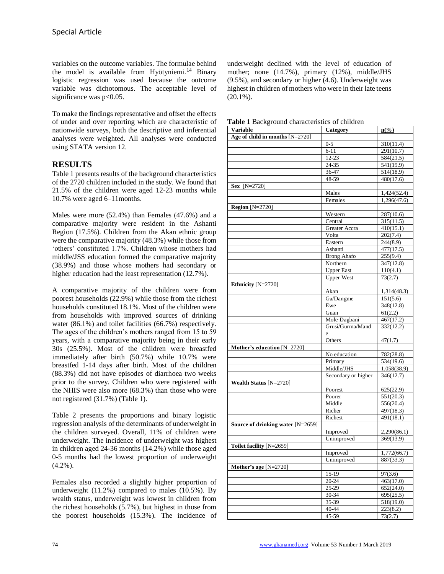variables on the outcome variables. The formulae behind the model is available from Hyötyniemi. <sup>14</sup> Binary logistic regression was used because the outcome variable was dichotomous. The acceptable level of significance was p<0.05.

To make the findings representative and offset the effects of under and over reporting which are characteristic of nationwide surveys, both the descriptive and inferential analyses were weighted. All analyses were conducted using STATA version 12.

## **RESULTS**

Table 1 presents results of the background characteristics of the 2720 children included in the study. We found that 21.5% of the children were aged 12-23 months while 10.7% were aged 6–11months.

Males were more (52.4%) than Females (47.6%) and a comparative majority were resident in the Ashanti Region (17.5%). Children from the Akan ethnic group were the comparative majority (48.3%) while those from 'others' constituted 1.7%. Children whose mothers had middle/JSS education formed the comparative majority (38.9%) and those whose mothers had secondary or higher education had the least representation (12.7%).

A comparative majority of the children were from poorest households (22.9%) while those from the richest households constituted 18.1%. Most of the children were from households with improved sources of drinking water (86.1%) and toilet facilities (66.7%) respectively. The ages of the children's mothers ranged from 15 to 59 years, with a comparative majority being in their early 30s (25.5%). Most of the children were breastfed immediately after birth (50.7%) while 10.7% were breastfed 1-14 days after birth. Most of the children (88.3%) did not have episodes of diarrhoea two weeks prior to the survey. Children who were registered with the NHIS were also more (68.3%) than those who were not registered (31.7%) (Table 1).

Table 2 presents the proportions and binary logistic regression analysis of the determinants of underweight in the children surveyed. Overall, 11% of children were underweight. The incidence of underweight was highest in children aged 24-36 months (14.2%) while those aged 0-5 months had the lowest proportion of underweight (4.2%).

Females also recorded a slightly higher proportion of underweight (11.2%) compared to males (10.5%). By wealth status, underweight was lowest in children from the richest households (5.7%), but highest in those from the poorest households (15.3%). The incidence of

underweight declined with the level of education of mother; none (14.7%), primary (12%), middle/JHS (9.5%), and secondary or higher (4.6). Underweight was highest in children of mothers who were in their late teens  $(20.1\%)$ .

**Table 1** Background characteristics of children

| <b>Variable</b>                   | Category            | $n\left(\frac{0}{0}\right)$ |
|-----------------------------------|---------------------|-----------------------------|
| Age of child in months [N=2720]   |                     |                             |
|                                   |                     |                             |
|                                   | $0 - 5$             | 310(11.4)                   |
|                                   | $6 - 11$            | 291(10.7)                   |
|                                   | $12 - 23$           | 584(21.5)                   |
|                                   | 24-35               | 541(19.9)                   |
|                                   | 36-47               | 514(18.9)                   |
|                                   | $48-59$             | 480(17.6)                   |
| <b>Sex</b> [N=2720]               |                     |                             |
|                                   | Males               | 1,424(52.4)                 |
|                                   | Females             | 1,296(47.6)                 |
| <b>Region</b> [ $N=2720$ ]        |                     |                             |
|                                   | Western             | 287(10.6)                   |
|                                   | Central             | 315(11.5)                   |
|                                   | Greater Accra       | 410(15.1)                   |
|                                   | Volta               | 202(7.4)                    |
|                                   | Eastern             | 244(8.9)                    |
|                                   | Ashanti             | 477(17.5)                   |
|                                   |                     |                             |
|                                   | <b>Brong Ahafo</b>  | 255(9.4)                    |
|                                   | Northern            | 347(12.8)                   |
|                                   | <b>Upper East</b>   | 110(4.1)                    |
|                                   | <b>Upper West</b>   | 73(2.7)                     |
| Ethnicity [N=2720]                |                     |                             |
|                                   | Akan                | 1,314(48.3)                 |
|                                   | Ga/Dangme           | 151(5.6)                    |
|                                   | Ewe                 | 348(12.8)                   |
|                                   | Guan                | 61(2.2)                     |
|                                   | Mole-Dagbani        | 467(17.2)                   |
|                                   | Grusi/Gurma/Mand    | 332(12.2)                   |
|                                   | e                   |                             |
|                                   | Others              | 47(1.7)                     |
| Mother's education [N=2720]       |                     |                             |
|                                   | No education        | 782(28.8)                   |
|                                   | Primary             | 534(19.6)                   |
|                                   | Middle/JHS          | 1,058(38.9)                 |
|                                   | Secondary or higher | 346(12.7)                   |
| Wealth Status [N=2720]            |                     |                             |
|                                   | Poorest             | 625(22.9)                   |
|                                   | Poorer              | $\overline{551(20.3)}$      |
|                                   | Middle              | 556(20.4)                   |
|                                   | Richer              | 497(18.3)                   |
|                                   | Richest             | 491(18.1)                   |
| Source of drinking water [N=2659] |                     |                             |
|                                   | Improved            | 2,290(86.1)                 |
|                                   | Unimproved          | 369(13.9)                   |
| Toilet facility [N=2659]          |                     |                             |
|                                   | Improved            | 1,772(66.7)                 |
|                                   | Unimproved          | 887(33.3)                   |
| Mother's age [N=2720]             |                     |                             |
|                                   | $15-19$             | 97(3.6)                     |
|                                   | 20-24               | 463(17.0)                   |
|                                   | 25-29               | 652(24.0)                   |
|                                   | 30-34               | 695(25.5)                   |
|                                   | 35-39               |                             |
|                                   | 40-44               | 518(19.0)                   |
|                                   |                     | 223(8.2)                    |
|                                   | 45-59               | 73(2.7)                     |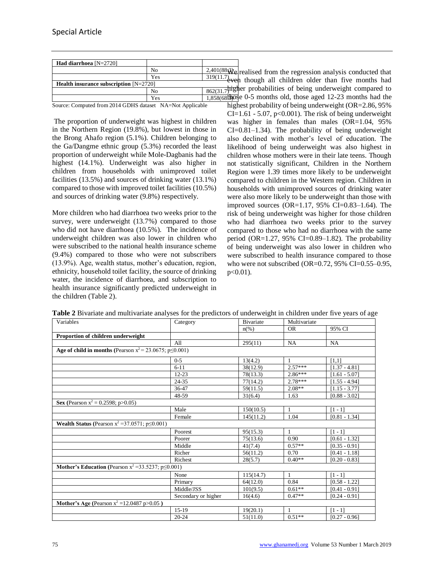| Had diarrhoea $[N=2720]$                        |     |                                                                                      |
|-------------------------------------------------|-----|--------------------------------------------------------------------------------------|
|                                                 | No  | $2,401(88)$ elrealised from the regression analysis conducted that                   |
|                                                 | Yes | $\frac{1.319(11.7)}{2}$ we though all children older than five months had            |
| <b>Health insurance subscription</b> $[N=2720]$ |     |                                                                                      |
|                                                 | No  | $\frac{862(31.7)}{1862(31.7)}$ higher probabilities of being underweight compared to |
|                                                 | Yes | $\frac{1.858(681)}{1.858(681)}$ ose 0-5 months old, those aged 12-23 months had the  |

Source: Computed from 2014 GDHS dataset NA=Not Applicable

The proportion of underweight was highest in children in the Northern Region (19.8%), but lowest in those in the Brong Ahafo region (5.1%). Children belonging to the Ga/Dangme ethnic group (5.3%) recorded the least proportion of underweight while Mole-Dagbanis had the highest (14.1%). Underweight was also higher in children from households with unimproved toilet facilities (13.5%) and sources of drinking water (13.1%) compared to those with improved toilet facilities (10.5%) and sources of drinking water (9.8%) respectively.

More children who had diarrhoea two weeks prior to the survey, were underweight (13.7%) compared to those who did not have diarrhoea (10.5%). The incidence of underweight children was also lower in children who were subscribed to the national health insurance scheme (9.4%) compared to those who were not subscribers (13.9%). Age, wealth status, mother's education, region, ethnicity, household toilet facility, the source of drinking water, the incidence of diarrhoea, and subscription to health insurance significantly predicted underweight in the children (Table 2).

highest probability of being underweight (OR=2.86, 95%) CI=1.61 - 5.07, p<0.001). The risk of being underweight was higher in females than males (OR=1.04, 95%  $CI = 0.81 - 1.34$ . The probability of being underweight also declined with mother's level of education. The likelihood of being underweight was also highest in children whose mothers were in their late teens. Though not statistically significant, Children in the Northern Region were 1.39 times more likely to be underweight compared to children in the Western region. Children in households with unimproved sources of drinking water were also more likely to be underweight than those with improved sources (OR=1.17, 95% CI=0.83–1.64). The risk of being underweight was higher for those children who had diarrhoea two weeks prior to the survey compared to those who had no diarrhoea with the same period (OR=1.27, 95% CI=0.89–1.82). The probability of being underweight was also lower in children who were subscribed to health insurance compared to those who were not subscribed (OR=0.72, 95% CI=0.55–0.95,  $p<0.01$ ).

| Variables                                                          | Category            | <b>Bivariate</b>   | Multivariate |                 |
|--------------------------------------------------------------------|---------------------|--------------------|--------------|-----------------|
|                                                                    |                     | $n\left(\%\right)$ | <b>OR</b>    | 95% CI          |
| Proportion of children underweight                                 |                     |                    |              |                 |
|                                                                    | A11                 | 295(11)            | <b>NA</b>    | <b>NA</b>       |
| Age of child in months (Pearson $x^2 = 23.0675$ ; p $\leq 0.001$ ) |                     |                    |              |                 |
|                                                                    | $0 - 5$             | 13(4.2)            | 1            | [1,1]           |
|                                                                    | $6 - 11$            | 38(12.9)           | $2.57***$    | $[1.37 - 4.81]$ |
|                                                                    | $12 - 23$           | 78(13.3)           | $2.86***$    | $[1.61 - 5.07]$ |
|                                                                    | 24-35               | 77(14.2)           | $2.78***$    | $[1.55 - 4.94]$ |
|                                                                    | 36-47               | 59(11.5)           | $2.08**$     | $[1.15 - 3.77]$ |
|                                                                    | 48-59               | 31(6.4)            | 1.63         | $[0.88 - 3.02]$ |
| <b>Sex</b> (Pearson $x^2 = 0.2598$ ; p>0.05)                       |                     |                    |              |                 |
|                                                                    | Male                | 150(10.5)          | -1           | $[1 - 1]$       |
|                                                                    | Female              | 145(11.2)          | 1.04         | $[0.81 - 1.34]$ |
| <b>Wealth Status</b> (Pearson $x^2 = 37.0571$ ; $p \le 0.001$ )    |                     |                    |              |                 |
|                                                                    | Poorest             | 95(15.3)           |              | $[1 - 1]$       |
|                                                                    | Poorer              | 75(13.6)           | 0.90         | $[0.61 - 1.32]$ |
|                                                                    | Middle              | 41(7.4)            | $0.57**$     | $[0.35 - 0.91]$ |
|                                                                    | Richer              | 56(11.2)           | 0.70         | $[0.41 - 1.18]$ |
|                                                                    | Richest             | 28(5.7)            | $0.40**$     | $[0.20 - 0.83]$ |
| Mother's Education (Pearson $x^2 = 33.5237$ ; p $\leq 0.001$ )     |                     |                    |              |                 |
|                                                                    | None                | 115(14.7)          | $\mathbf{1}$ | $[1 - 1]$       |
|                                                                    | Primary             | 64(12.0)           | 0.84         | $[0.58 - 1.22]$ |
|                                                                    | Middle/JSS          | 101(9.5)           | $0.61**$     | $[0.41 - 0.91]$ |
|                                                                    | Secondary or higher | 16(4.6)            | $0.47**$     | $[0.24 - 0.91]$ |
| <b>Mother's Age</b> (Pearson $x^2 = 12.0487$ p>0.05)               |                     |                    |              |                 |
|                                                                    | $15-19$             | 19(20.1)           | $\mathbf{1}$ | $[1 - 1]$       |
|                                                                    | $20 - 24$           | 51(11.0)           | $0.51**$     | $[0.27 - 0.96]$ |

**Table 2** Bivariate and multivariate analyses for the predictors of underweight in children under five years of age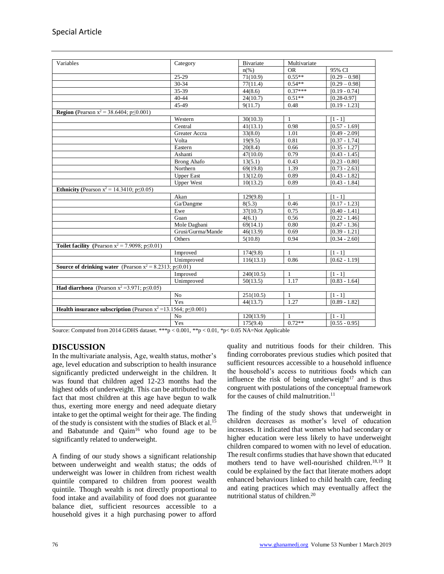| Variables                                                                       | Category           | <b>Bivariate</b>   | Multivariate |                 |
|---------------------------------------------------------------------------------|--------------------|--------------------|--------------|-----------------|
|                                                                                 |                    | $n\left(\%\right)$ | <b>OR</b>    | 95% CI          |
|                                                                                 | 25-29              | 71(10.9)           | $0.55**$     | $[0.29 - 0.98]$ |
|                                                                                 | $30 - 34$          | 77(11.4)           | $0.54**$     | $[0.29 - 0.98]$ |
|                                                                                 | 35-39              | 44(8.6)            | $0.37***$    | $[0.19 - 0.74]$ |
|                                                                                 | $40 - 44$          | 24(10.7)           | $0.51**$     | $[0.28 - 0.97]$ |
|                                                                                 | 45-49              | 9(11.7)            | 0.48         | $[0.19 - 1.23]$ |
| <b>Region</b> (Pearson $x^2 = 38.6404$ ; p $\leq 0.001$ )                       |                    |                    |              |                 |
|                                                                                 | Western            | 30(10.3)           | $\mathbf{1}$ | $[1 - 1]$       |
|                                                                                 | Central            | 41(13.1)           | 0.98         | $[0.57 - 1.69]$ |
|                                                                                 | Greater Accra      | 33(8.0)            | 1.01         | $[0.49 - 2.09]$ |
|                                                                                 | Volta              | 19(9.5)            | 0.81         | $[0.37 - 1.74]$ |
|                                                                                 | Eastern            | 20(8.4)            | 0.66         | $[0.35 - 1.27]$ |
|                                                                                 | Ashanti            | 47(10.0)           | 0.79         | $[0.43 - 1.45]$ |
|                                                                                 | <b>Brong Ahafo</b> | 13(5.1)            | 0.43         | $[0.23 - 0.80]$ |
|                                                                                 | Northern           | 69(19.8)           | 1.39         | $[0.73 - 2.63]$ |
|                                                                                 | <b>Upper East</b>  | 13(12.0)           | 0.89         | $[0.43 - 1.82]$ |
|                                                                                 | <b>Upper West</b>  | 10(13.2)           | 0.89         | $[0.43 - 1.84]$ |
| <b>Ethnicity</b> (Pearson $x^2 = 14.3410$ ; p $\leq 0.05$ )                     |                    |                    |              |                 |
|                                                                                 | Akan               | 129(9.8)           | $\mathbf{1}$ | $[1 - 1]$       |
|                                                                                 | Ga/Dangme          | 8(5.3)             | 0.46         | $[0.17 - 1.23]$ |
|                                                                                 | Ewe                | 37(10.7)           | 0.75         | $[0.40 - 1.41]$ |
|                                                                                 | Guan               | 4(6.1)             | 0.56         | $[0.22 - 1.46]$ |
|                                                                                 | Mole Dagbani       | 69(14.1)           | 0.80         | $[0.47 - 1.36]$ |
|                                                                                 | Grusi/Gurma/Mande  | 46(13.9)           | 0.69         | $[0.39 - 1.21]$ |
|                                                                                 | Others             | 5(10.8)            | 0.94         | $[0.34 - 2.60]$ |
| Toilet facility (Pearson $x^2 = 7.9098$ ; p $\leq 0.01$ )                       |                    |                    |              |                 |
|                                                                                 | Improved           | 174(9.8)           | 1            | $[1 - 1]$       |
|                                                                                 | Unimproved         | 116(13.1)          | 0.86         | $[0.62 - 1.19]$ |
| Source of drinking water (Pearson $x^2 = 8.2313$ ; p $\leq 0.01$ )              |                    |                    |              |                 |
|                                                                                 | Improved           | 240(10.5)          | $\mathbf{1}$ | $[1 - 1]$       |
|                                                                                 | Unimproved         | 50(13.5)           | 1.17         | $[0.83 - 1.64]$ |
| <b>Had diarrhoea</b> (Pearson $x^2 = 3.971$ ; $p \le 0.05$ )                    |                    |                    |              |                 |
|                                                                                 | No                 | 251(10.5)          | $\mathbf{1}$ | $[1 - 1]$       |
|                                                                                 | Yes                | 44(13.7)           | 1.27         | $[0.89 - 1.82]$ |
| <b>Health insurance subscription</b> (Pearson $x^2 = 13.1564$ ; $p \le 0.001$ ) |                    |                    |              |                 |
|                                                                                 | No                 | 120(13.9)          | $\mathbf{1}$ | $[1 - 1]$       |
|                                                                                 | Yes                | 175(9.4)           | $0.72**$     | $[0.55 - 0.95]$ |

Source: Computed from 2014 GDHS dataset. \*\*\*p < 0.001, \*\*p < 0.01, \*p< 0.05 NA=Not Applicable

#### **DISCUSSION**

In the multivariate analysis, Age, wealth status, mother's age, level education and subscription to health insurance significantly predicted underweight in the children. It was found that children aged 12-23 months had the highest odds of underweight. This can be attributed to the fact that most children at this age have begun to walk thus, exerting more energy and need adequate dietary intake to get the optimal weight for their age. The finding of the study is consistent with the studies of Black et al.<sup>15</sup> and Babatunde and Qaim<sup>16</sup> who found age to be significantly related to underweight.

A finding of our study shows a significant relationship between underweight and wealth status; the odds of underweight was lower in children from richest wealth quintile compared to children from poorest wealth quintile. Though wealth is not directly proportional to food intake and availability of food does not guarantee balance diet, sufficient resources accessible to a household gives it a high purchasing power to afford quality and nutritious foods for their children. This finding corroborates previous studies which posited that sufficient resources accessible to a household influence the household's access to nutritious foods which can influence the risk of being underweight $17$  and is thus congruent with postulations of the conceptual framework for the causes of child malnutrition. 11

The finding of the study shows that underweight in children decreases as mother's level of education increases. It indicated that women who had secondary or higher education were less likely to have underweight children compared to women with no level of education. The result confirms studies that have shown that educated mothers tend to have well-nourished children. 18,19 It could be explained by the fact that literate mothers adopt enhanced behaviours linked to child health care, feeding and eating practices which may eventually affect the nutritional status of children. 20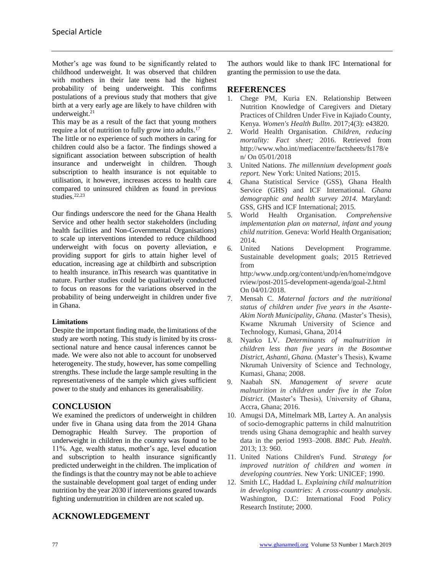Mother's age was found to be significantly related to childhood underweight. It was observed that children with mothers in their late teens had the highest probability of being underweight. This confirms postulations of a previous study that mothers that give birth at a very early age are likely to have children with underweight. 21

This may be as a result of the fact that young mothers require a lot of nutrition to fully grow into adults.<sup>17</sup>

The little or no experience of such mothers in caring for children could also be a factor. The findings showed a significant association between subscription of health insurance and underweight in children. Though subscription to health insurance is not equitable to utilisation, it however, increases access to health care compared to uninsured children as found in previous studies.<sup>22,23</sup>

Our findings underscore the need for the Ghana Health Service and other health sector stakeholders (including health facilities and Non-Governmental Organisations) to scale up interventions intended to reduce childhood underweight with focus on poverty alleviation, e providing support for girls to attain higher level of education, increasing age at childbirth and subscription to health insurance. inThis research was quantitative in nature. Further studies could be qualitatively conducted to focus on reasons for the variations observed in the probability of being underweight in children under five in Ghana.

#### **Limitations**

Despite the important finding made, the limitations of the study are worth noting. This study is limited by its crosssectional nature and hence causal inferences cannot be made. We were also not able to account for unobserved heterogeneity. The study, however, has some compelling strengths. These include the large sample resulting in the representativeness of the sample which gives sufficient power to the study and enhances its generalisability.

## **CONCLUSION**

We examined the predictors of underweight in children under five in Ghana using data from the 2014 Ghana Demographic Health Survey. The proportion of underweight in children in the country was found to be 11%. Age, wealth status, mother's age, level education and subscription to health insurance significantly predicted underweight in the children. The implication of the findings is that the country may not be able to achieve the sustainable development goal target of ending under nutrition by the year 2030 if interventions geared towards fighting undernutrition in children are not scaled up.

# **ACKNOWLEDGEMENT**

The authors would like to thank IFC International for granting the permission to use the data.

## **REFERENCES**

- 1. Chege PM, Kuria EN. Relationship Between Nutrition Knowledge of Caregivers and Dietary Practices of Children Under Five in Kajiado County, Kenya. *Women's Health Bulltn*. 2017;4(3): e43820.
- 2. World Health Organisation. *Children, reducing mortality: Fact sheet;* 2016. Retrieved from http://www.who.int/mediacentre/factsheets/fs178/e n/ On 05/01/2018
- 3. United Nations. *The millennium development goals report.* New York: United Nations; 2015.
- 4. Ghana Statistical Service (GSS), Ghana Health Service (GHS) and ICF International. *Ghana demographic and health survey 2014.* Maryland: GSS, GHS and ICF International; 2015.<br>World Health Organisation. Con
- 5. World Health Organisation. *Comprehensive implementation plan on maternal, infant and young child nutrition.* Geneva: World Health Organisation; 2014.
- 6. United Nations Development Programme. Sustainable development goals; 2015 Retrieved from http:/www.undp.org/content/undp/en/home/mdgove rview/post-2015-development-agenda/goal-2.html On 04/01/2018.
- 7. Mensah C. *Maternal factors and the nutritional status of children under five years in the Asante-Akim North Municipality, Ghana.* (Master's Thesis), Kwame Nkrumah University of Science and Technology, Kumasi, Ghana, 2014
- 8. Nyarko LV. *Determinants of malnutrition in children less than five years in the Bosomtwe District, Ashanti, Ghana.* (Master's Thesis), Kwame Nkrumah University of Science and Technology, Kumasi, Ghana; 2008.
- 9. Naabah SN. *Management of severe acute malnutrition in children under five in the Tolon District.* (Master's Thesis), University of Ghana, Accra, Ghana; 2016.
- 10. Amugsi DA, Mittelmark MB, Lartey A. An analysis of socio-demographic patterns in child malnutrition trends using Ghana demographic and health survey data in the period 1993–2008. *BMC Pub. Health*. 2013; 13: 960.
- 11. United Nations Children's Fund. *Strategy for improved nutrition of children and women in developing countries.* New York: UNICEF; 1990.
- 12. Smith LC, Haddad L. *Explaining child malnutrition in developing countries: A cross-country analysis*. Washington, D.C: International Food Policy Research Institute; 2000.